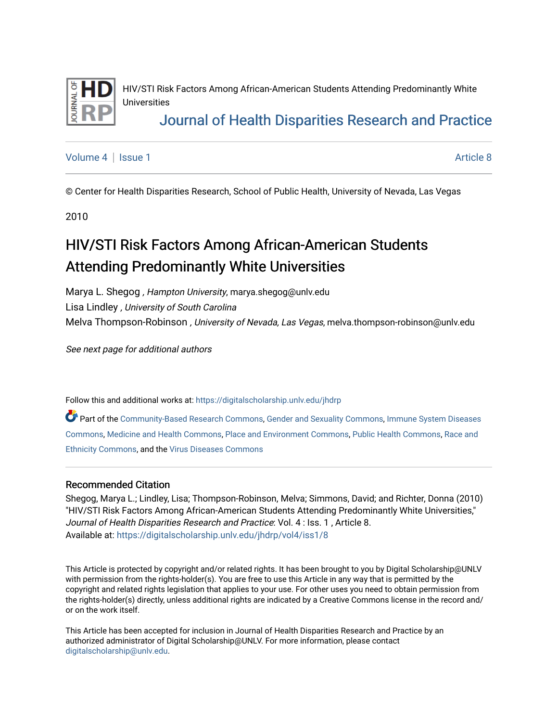

HIV/STI Risk Factors Among African-American Students Attending Predominantly White Universities

# [Journal of Health Disparities Research and Practice](https://digitalscholarship.unlv.edu/jhdrp)

[Volume 4](https://digitalscholarship.unlv.edu/jhdrp/vol4) | [Issue 1](https://digitalscholarship.unlv.edu/jhdrp/vol4/iss1) Article 8

© Center for Health Disparities Research, School of Public Health, University of Nevada, Las Vegas

2010

# HIV/STI Risk Factors Among African-American Students Attending Predominantly White Universities

Marya L. Shegog , Hampton University, marya.shegog@unlv.edu Lisa Lindley , University of South Carolina Melva Thompson-Robinson , University of Nevada, Las Vegas, melva.thompson-robinson@unlv.edu

See next page for additional authors

Follow this and additional works at: [https://digitalscholarship.unlv.edu/jhdrp](https://digitalscholarship.unlv.edu/jhdrp?utm_source=digitalscholarship.unlv.edu%2Fjhdrp%2Fvol4%2Fiss1%2F8&utm_medium=PDF&utm_campaign=PDFCoverPages) 

Part of the [Community-Based Research Commons,](http://network.bepress.com/hgg/discipline/1047?utm_source=digitalscholarship.unlv.edu%2Fjhdrp%2Fvol4%2Fiss1%2F8&utm_medium=PDF&utm_campaign=PDFCoverPages) [Gender and Sexuality Commons,](http://network.bepress.com/hgg/discipline/420?utm_source=digitalscholarship.unlv.edu%2Fjhdrp%2Fvol4%2Fiss1%2F8&utm_medium=PDF&utm_campaign=PDFCoverPages) [Immune System Diseases](http://network.bepress.com/hgg/discipline/933?utm_source=digitalscholarship.unlv.edu%2Fjhdrp%2Fvol4%2Fiss1%2F8&utm_medium=PDF&utm_campaign=PDFCoverPages) [Commons,](http://network.bepress.com/hgg/discipline/933?utm_source=digitalscholarship.unlv.edu%2Fjhdrp%2Fvol4%2Fiss1%2F8&utm_medium=PDF&utm_campaign=PDFCoverPages) [Medicine and Health Commons](http://network.bepress.com/hgg/discipline/422?utm_source=digitalscholarship.unlv.edu%2Fjhdrp%2Fvol4%2Fiss1%2F8&utm_medium=PDF&utm_campaign=PDFCoverPages), [Place and Environment Commons,](http://network.bepress.com/hgg/discipline/424?utm_source=digitalscholarship.unlv.edu%2Fjhdrp%2Fvol4%2Fiss1%2F8&utm_medium=PDF&utm_campaign=PDFCoverPages) [Public Health Commons,](http://network.bepress.com/hgg/discipline/738?utm_source=digitalscholarship.unlv.edu%2Fjhdrp%2Fvol4%2Fiss1%2F8&utm_medium=PDF&utm_campaign=PDFCoverPages) [Race and](http://network.bepress.com/hgg/discipline/426?utm_source=digitalscholarship.unlv.edu%2Fjhdrp%2Fvol4%2Fiss1%2F8&utm_medium=PDF&utm_campaign=PDFCoverPages)  [Ethnicity Commons,](http://network.bepress.com/hgg/discipline/426?utm_source=digitalscholarship.unlv.edu%2Fjhdrp%2Fvol4%2Fiss1%2F8&utm_medium=PDF&utm_campaign=PDFCoverPages) and the [Virus Diseases Commons](http://network.bepress.com/hgg/discipline/998?utm_source=digitalscholarship.unlv.edu%2Fjhdrp%2Fvol4%2Fiss1%2F8&utm_medium=PDF&utm_campaign=PDFCoverPages) 

#### Recommended Citation

Shegog, Marya L.; Lindley, Lisa; Thompson-Robinson, Melva; Simmons, David; and Richter, Donna (2010) "HIV/STI Risk Factors Among African-American Students Attending Predominantly White Universities," Journal of Health Disparities Research and Practice: Vol. 4 : Iss. 1 , Article 8. Available at: [https://digitalscholarship.unlv.edu/jhdrp/vol4/iss1/8](https://digitalscholarship.unlv.edu/jhdrp/vol4/iss1/8?utm_source=digitalscholarship.unlv.edu%2Fjhdrp%2Fvol4%2Fiss1%2F8&utm_medium=PDF&utm_campaign=PDFCoverPages)

This Article is protected by copyright and/or related rights. It has been brought to you by Digital Scholarship@UNLV with permission from the rights-holder(s). You are free to use this Article in any way that is permitted by the copyright and related rights legislation that applies to your use. For other uses you need to obtain permission from the rights-holder(s) directly, unless additional rights are indicated by a Creative Commons license in the record and/ or on the work itself.

This Article has been accepted for inclusion in Journal of Health Disparities Research and Practice by an authorized administrator of Digital Scholarship@UNLV. For more information, please contact [digitalscholarship@unlv.edu](mailto:digitalscholarship@unlv.edu).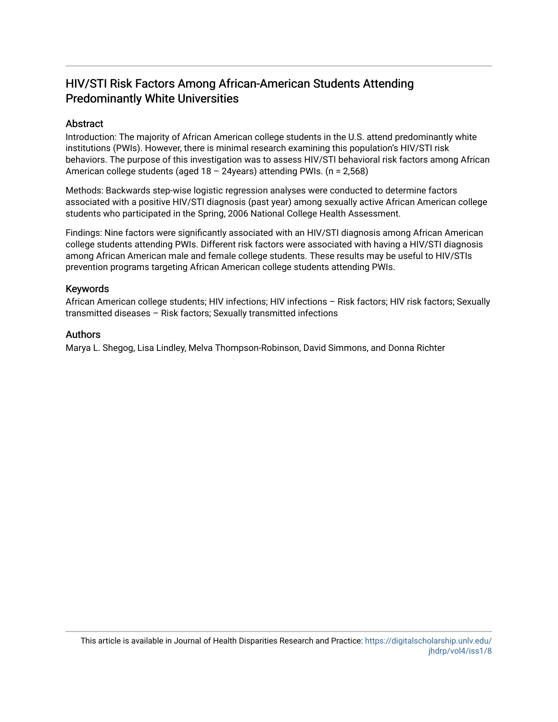## HIV/STI Risk Factors Among African-American Students Attending Predominantly White Universities

#### Abstract

Introduction: The majority of African American college students in the U.S. attend predominantly white institutions (PWIs). However, there is minimal research examining this population's HIV/STI risk behaviors. The purpose of this investigation was to assess HIV/STI behavioral risk factors among African American college students (aged  $18 - 24$ years) attending PWIs. (n = 2,568)

Methods: Backwards step-wise logistic regression analyses were conducted to determine factors associated with a positive HIV/STI diagnosis (past year) among sexually active African American college students who participated in the Spring, 2006 National College Health Assessment.

Findings: Nine factors were significantly associated with an HIV/STI diagnosis among African American college students attending PWIs. Different risk factors were associated with having a HIV/STI diagnosis among African American male and female college students. These results may be useful to HIV/STIs prevention programs targeting African American college students attending PWIs.

#### Keywords

African American college students; HIV infections; HIV infections – Risk factors; HIV risk factors; Sexually transmitted diseases – Risk factors; Sexually transmitted infections

#### Authors

Marya L. Shegog, Lisa Lindley, Melva Thompson-Robinson, David Simmons, and Donna Richter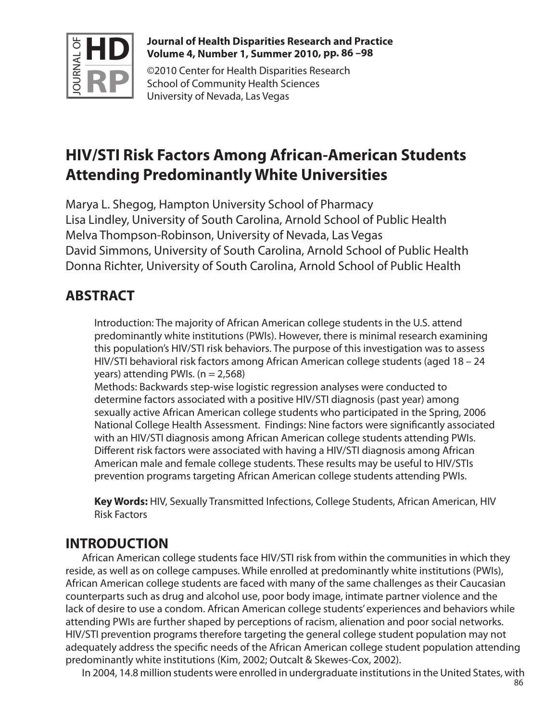

#### **Journal of Health Disparities Research and Practice Volume 4, Number 1, Summer 2010 , pp. 86 –98**

©2010 Center for Health Disparities Research School of Community Health Sciences University of Nevada, Las Vegas

# **HIV/STI Risk Factors Among African-American Students Attending Predominantly White Universities**

Marya L. Shegog, Hampton University School of Pharmacy Lisa Lindley, University of South Carolina, Arnold School of Public Health Melva Thompson-Robinson, University of Nevada, Las Vegas David Simmons, University of South Carolina, Arnold School of Public Health Donna Richter, University of South Carolina, Arnold School of Public Health

# **ABSTRACT**

Introduction: The majority of African American college students in the U.S. attend predominantly white institutions (PWIs). However, there is minimal research examining this population's HIV/STI risk behaviors. The purpose of this investigation was to assess HIV/STI behavioral risk factors among African American college students (aged 18 – 24 years) attending PWIs.  $(n = 2.568)$ 

Methods: Backwards step-wise logistic regression analyses were conducted to determine factors associated with a positive HIV/STI diagnosis (past year) among sexually active African American college students who participated in the Spring, 2006 National College Health Assessment. Findings: Nine factors were significantly associated with an HIV/STI diagnosis among African American college students attending PWIs. Different risk factors were associated with having a HIV/STI diagnosis among African American male and female college students. These results may be useful to HIV/STIs prevention programs targeting African American college students attending PWIs.

**Key Words:** HIV, Sexually Transmitted Infections, College Students, African American, HIV Risk Factors

# **INTRODUCTION**

African American college students face HIV/STI risk from within the communities in which they reside, as well as on college campuses. While enrolled at predominantly white institutions (PWIs), African American college students are faced with many of the same challenges as their Caucasian counterparts such as drug and alcohol use, poor body image, intimate partner violence and the lack of desire to use a condom. African American college students' experiences and behaviors while attending PWIs are further shaped by perceptions of racism, alienation and poor social networks. HIV/STI prevention programs therefore targeting the general college student population may not adequately address the specific needs of the African American college student population attending predominantly white institutions (Kim, 2002; Outcalt & Skewes-Cox, 2002).

86 In 2004, 14.8 million students were enrolled in undergraduate institutions in the United States, with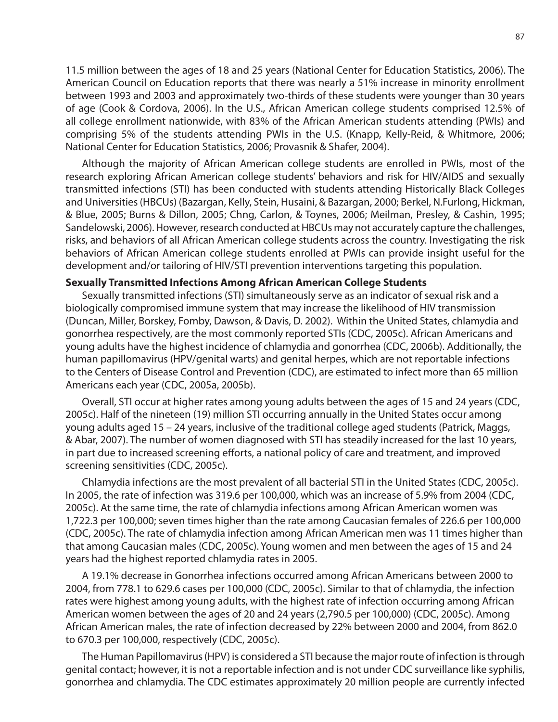11.5 million between the ages of 18 and 25 years (National Center for Education Statistics, 2006). The American Council on Education reports that there was nearly a 51% increase in minority enrollment between 1993 and 2003 and approximately two-thirds of these students were younger than 30 years of age (Cook & Cordova, 2006). In the U.S., African American college students comprised 12.5% of all college enrollment nationwide, with 83% of the African American students attending (PWIs) and comprising 5% of the students attending PWIs in the U.S. (Knapp, Kelly-Reid, & Whitmore, 2006; National Center for Education Statistics, 2006; Provasnik & Shafer, 2004).

Although the majority of African American college students are enrolled in PWIs, most of the research exploring African American college students' behaviors and risk for HIV/AIDS and sexually transmitted infections (STI) has been conducted with students attending Historically Black Colleges and Universities (HBCUs) (Bazargan, Kelly, Stein, Husaini, & Bazargan, 2000; Berkel, N.Furlong, Hickman, & Blue, 2005; Burns & Dillon, 2005; Chng, Carlon, & Toynes, 2006; Meilman, Presley, & Cashin, 1995; Sandelowski, 2006). However, research conducted at HBCUs may not accurately capture the challenges, risks, and behaviors of all African American college students across the country. Investigating the risk behaviors of African American college students enrolled at PWIs can provide insight useful for the development and/or tailoring of HIV/STI prevention interventions targeting this population.

#### **Sexually Transmitted Infections Among African American College Students**

Sexually transmitted infections (STI) simultaneously serve as an indicator of sexual risk and a biologically compromised immune system that may increase the likelihood of HIV transmission (Duncan, Miller, Borskey, Fomby, Dawson, & Davis, D. 2002). Within the United States, chlamydia and gonorrhea respectively, are the most commonly reported STIs (CDC, 2005c). African Americans and young adults have the highest incidence of chlamydia and gonorrhea (CDC, 2006b). Additionally, the human papillomavirus (HPV/genital warts) and genital herpes, which are not reportable infections to the Centers of Disease Control and Prevention (CDC), are estimated to infect more than 65 million Americans each year (CDC, 2005a, 2005b).

Overall, STI occur at higher rates among young adults between the ages of 15 and 24 years (CDC, 2005c). Half of the nineteen (19) million STI occurring annually in the United States occur among young adults aged 15 – 24 years, inclusive of the traditional college aged students (Patrick, Maggs, & Abar, 2007). The number of women diagnosed with STI has steadily increased for the last 10 years, in part due to increased screening efforts, a national policy of care and treatment, and improved screening sensitivities (CDC, 2005c).

Chlamydia infections are the most prevalent of all bacterial STI in the United States (CDC, 2005c). In 2005, the rate of infection was 319.6 per 100,000, which was an increase of 5.9% from 2004 (CDC, 2005c). At the same time, the rate of chlamydia infections among African American women was 1,722.3 per 100,000; seven times higher than the rate among Caucasian females of 226.6 per 100,000 (CDC, 2005c). The rate of chlamydia infection among African American men was 11 times higher than that among Caucasian males (CDC, 2005c). Young women and men between the ages of 15 and 24 years had the highest reported chlamydia rates in 2005.

A 19.1% decrease in Gonorrhea infections occurred among African Americans between 2000 to 2004, from 778.1 to 629.6 cases per 100,000 (CDC, 2005c). Similar to that of chlamydia, the infection rates were highest among young adults, with the highest rate of infection occurring among African American women between the ages of 20 and 24 years (2,790.5 per 100,000) (CDC, 2005c). Among African American males, the rate of infection decreased by 22% between 2000 and 2004, from 862.0 to 670.3 per 100,000, respectively (CDC, 2005c).

The Human Papillomavirus (HPV) is considered a STI because the major route of infection is through genital contact; however, it is not a reportable infection and is not under CDC surveillance like syphilis, gonorrhea and chlamydia. The CDC estimates approximately 20 million people are currently infected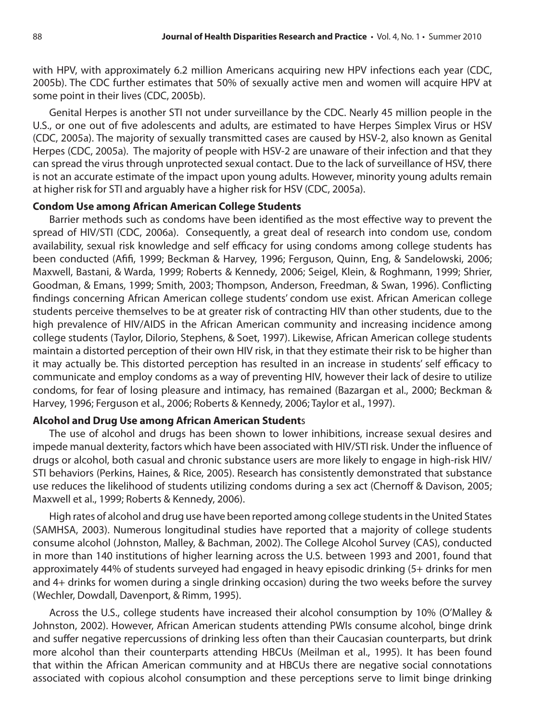with HPV, with approximately 6.2 million Americans acquiring new HPV infections each year (CDC, 2005b). The CDC further estimates that 50% of sexually active men and women will acquire HPV at some point in their lives (CDC, 2005b).

Genital Herpes is another STI not under surveillance by the CDC. Nearly 45 million people in the U.S., or one out of five adolescents and adults, are estimated to have Herpes Simplex Virus or HSV (CDC, 2005a). The majority of sexually transmitted cases are caused by HSV-2, also known as Genital Herpes (CDC, 2005a). The majority of people with HSV-2 are unaware of their infection and that they can spread the virus through unprotected sexual contact. Due to the lack of surveillance of HSV, there is not an accurate estimate of the impact upon young adults. However, minority young adults remain at higher risk for STI and arguably have a higher risk for HSV (CDC, 2005a).

#### **Condom Use among African American College Students**

Barrier methods such as condoms have been identified as the most effective way to prevent the spread of HIV/STI (CDC, 2006a). Consequently, a great deal of research into condom use, condom availability, sexual risk knowledge and self efficacy for using condoms among college students has been conducted (Afifi, 1999; Beckman & Harvey, 1996; Ferguson, Quinn, Eng, & Sandelowski, 2006; Maxwell, Bastani, & Warda, 1999; Roberts & Kennedy, 2006; Seigel, Klein, & Roghmann, 1999; Shrier, Goodman, & Emans, 1999; Smith, 2003; Thompson, Anderson, Freedman, & Swan, 1996). Conflicting findings concerning African American college students' condom use exist. African American college students perceive themselves to be at greater risk of contracting HIV than other students, due to the high prevalence of HIV/AIDS in the African American community and increasing incidence among college students (Taylor, Dilorio, Stephens, & Soet, 1997). Likewise, African American college students maintain a distorted perception of their own HIV risk, in that they estimate their risk to be higher than it may actually be. This distorted perception has resulted in an increase in students' self efficacy to communicate and employ condoms as a way of preventing HIV, however their lack of desire to utilize condoms, for fear of losing pleasure and intimacy, has remained (Bazargan et al., 2000; Beckman & Harvey, 1996; Ferguson et al., 2006; Roberts & Kennedy, 2006; Taylor et al., 1997).

#### **Alcohol and Drug Use among African American Student**s

The use of alcohol and drugs has been shown to lower inhibitions, increase sexual desires and impede manual dexterity, factors which have been associated with HIV/STI risk. Under the influence of drugs or alcohol, both casual and chronic substance users are more likely to engage in high-risk HIV/ STI behaviors (Perkins, Haines, & Rice, 2005). Research has consistently demonstrated that substance use reduces the likelihood of students utilizing condoms during a sex act (Chernoff & Davison, 2005; Maxwell et al., 1999; Roberts & Kennedy, 2006).

High rates of alcohol and drug use have been reported among college students in the United States (SAMHSA, 2003). Numerous longitudinal studies have reported that a majority of college students consume alcohol (Johnston, Malley, & Bachman, 2002). The College Alcohol Survey (CAS), conducted in more than 140 institutions of higher learning across the U.S. between 1993 and 2001, found that approximately 44% of students surveyed had engaged in heavy episodic drinking (5+ drinks for men and 4+ drinks for women during a single drinking occasion) during the two weeks before the survey (Wechler, Dowdall, Davenport, & Rimm, 1995).

Across the U.S., college students have increased their alcohol consumption by 10% (O'Malley & Johnston, 2002). However, African American students attending PWIs consume alcohol, binge drink and suffer negative repercussions of drinking less often than their Caucasian counterparts, but drink more alcohol than their counterparts attending HBCUs (Meilman et al., 1995). It has been found that within the African American community and at HBCUs there are negative social connotations associated with copious alcohol consumption and these perceptions serve to limit binge drinking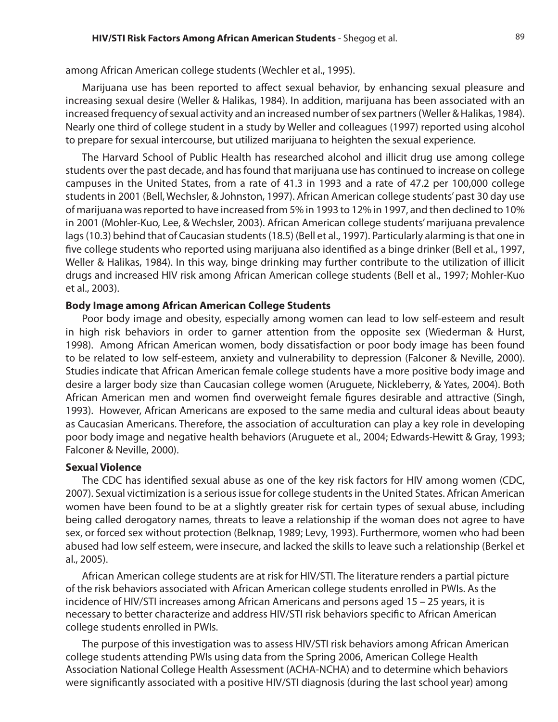among African American college students (Wechler et al., 1995).

Marijuana use has been reported to affect sexual behavior, by enhancing sexual pleasure and increasing sexual desire (Weller & Halikas, 1984). In addition, marijuana has been associated with an increased frequency of sexual activity and an increased number of sex partners (Weller & Halikas, 1984). Nearly one third of college student in a study by Weller and colleagues (1997) reported using alcohol to prepare for sexual intercourse, but utilized marijuana to heighten the sexual experience.

The Harvard School of Public Health has researched alcohol and illicit drug use among college students over the past decade, and has found that marijuana use has continued to increase on college campuses in the United States, from a rate of 41.3 in 1993 and a rate of 47.2 per 100,000 college students in 2001 (Bell, Wechsler, & Johnston, 1997). African American college students' past 30 day use of marijuana was reported to have increased from 5% in 1993 to 12% in 1997, and then declined to 10% in 2001 (Mohler-Kuo, Lee, & Wechsler, 2003). African American college students' marijuana prevalence lags (10.3) behind that of Caucasian students (18.5) (Bell et al., 1997). Particularly alarming is that one in five college students who reported using marijuana also identified as a binge drinker (Bell et al., 1997, Weller & Halikas, 1984). In this way, binge drinking may further contribute to the utilization of illicit drugs and increased HIV risk among African American college students (Bell et al., 1997; Mohler-Kuo et al., 2003).

#### **Body Image among African American College Students**

Poor body image and obesity, especially among women can lead to low self-esteem and result in high risk behaviors in order to garner attention from the opposite sex (Wiederman & Hurst, 1998). Among African American women, body dissatisfaction or poor body image has been found to be related to low self-esteem, anxiety and vulnerability to depression (Falconer & Neville, 2000). Studies indicate that African American female college students have a more positive body image and desire a larger body size than Caucasian college women (Aruguete, Nickleberry, & Yates, 2004). Both African American men and women find overweight female figures desirable and attractive (Singh, 1993). However, African Americans are exposed to the same media and cultural ideas about beauty as Caucasian Americans. Therefore, the association of acculturation can play a key role in developing poor body image and negative health behaviors (Aruguete et al., 2004; Edwards-Hewitt & Gray, 1993; Falconer & Neville, 2000).

#### **Sexual Violence**

The CDC has identified sexual abuse as one of the key risk factors for HIV among women (CDC, 2007). Sexual victimization is a serious issue for college students in the United States. African American women have been found to be at a slightly greater risk for certain types of sexual abuse, including being called derogatory names, threats to leave a relationship if the woman does not agree to have sex, or forced sex without protection (Belknap, 1989; Levy, 1993). Furthermore, women who had been abused had low self esteem, were insecure, and lacked the skills to leave such a relationship (Berkel et al., 2005).

African American college students are at risk for HIV/STI. The literature renders a partial picture of the risk behaviors associated with African American college students enrolled in PWIs. As the incidence of HIV/STI increases among African Americans and persons aged 15 – 25 years, it is necessary to better characterize and address HIV/STI risk behaviors specific to African American college students enrolled in PWIs.

The purpose of this investigation was to assess HIV/STI risk behaviors among African American college students attending PWIs using data from the Spring 2006, American College Health Association National College Health Assessment (ACHA-NCHA) and to determine which behaviors were significantly associated with a positive HIV/STI diagnosis (during the last school year) among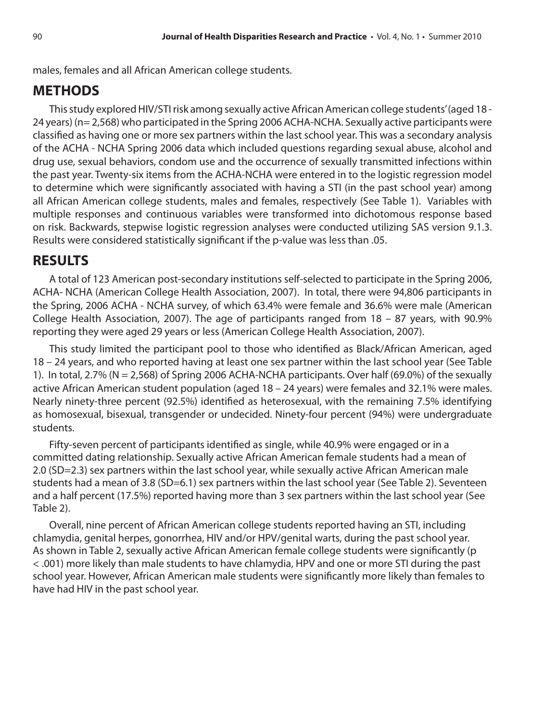males, females and all African American college students.

# **METHODS**

This study explored HIV/STI risk among sexually active African American college students' (aged 18 - 24 years) (n= 2,568) who participated in the Spring 2006 ACHA-NCHA. Sexually active participants were classified as having one or more sex partners within the last school year. This was a secondary analysis of the ACHA - NCHA Spring 2006 data which included questions regarding sexual abuse, alcohol and drug use, sexual behaviors, condom use and the occurrence of sexually transmitted infections within the past year. Twenty-six items from the ACHA-NCHA were entered in to the logistic regression model to determine which were significantly associated with having a STI (in the past school year) among all African American college students, males and females, respectively (See Table 1). Variables with multiple responses and continuous variables were transformed into dichotomous response based on risk. Backwards, stepwise logistic regression analyses were conducted utilizing SAS version 9.1.3. Results were considered statistically significant if the p-value was less than .05.

# **RESULTS**

A total of 123 American post-secondary institutions self-selected to participate in the Spring 2006, ACHA- NCHA (American College Health Association, 2007). In total, there were 94,806 participants in the Spring, 2006 ACHA - NCHA survey, of which 63.4% were female and 36.6% were male (American College Health Association, 2007). The age of participants ranged from 18 – 87 years, with 90.9% reporting they were aged 29 years or less (American College Health Association, 2007).

This study limited the participant pool to those who identified as Black/African American, aged 18 – 24 years, and who reported having at least one sex partner within the last school year (See Table 1). In total, 2.7% (N = 2,568) of Spring 2006 ACHA-NCHA participants. Over half (69.0%) of the sexually active African American student population (aged 18 – 24 years) were females and 32.1% were males. Nearly ninety-three percent (92.5%) identified as heterosexual, with the remaining 7.5% identifying as homosexual, bisexual, transgender or undecided. Ninety-four percent (94%) were undergraduate students.

Fifty-seven percent of participants identified as single, while 40.9% were engaged or in a committed dating relationship. Sexually active African American female students had a mean of 2.0 (SD=2.3) sex partners within the last school year, while sexually active African American male students had a mean of 3.8 (SD=6.1) sex partners within the last school year (See Table 2). Seventeen and a half percent (17.5%) reported having more than 3 sex partners within the last school year (See Table 2).

Overall, nine percent of African American college students reported having an STI, including chlamydia, genital herpes, gonorrhea, HIV and/or HPV/genital warts, during the past school year. As shown in Table 2, sexually active African American female college students were significantly (p < .001) more likely than male students to have chlamydia, HPV and one or more STI during the past school year. However, African American male students were significantly more likely than females to have had HIV in the past school year.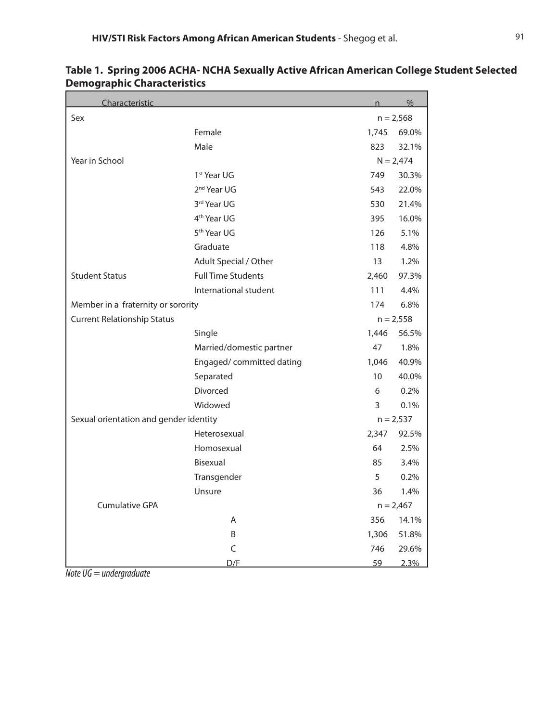| <b>Characteristic</b>                  |                           |             | $\frac{0}{0}$ |
|----------------------------------------|---------------------------|-------------|---------------|
| Sex                                    |                           |             | $n = 2,568$   |
|                                        | Female                    | 1,745       | 69.0%         |
|                                        | Male                      | 823         | 32.1%         |
| Year in School                         |                           |             | $N = 2,474$   |
|                                        | 1st Year UG               | 749         | 30.3%         |
|                                        | 2 <sup>nd</sup> Year UG   | 543         | 22.0%         |
|                                        | 3rd Year UG               | 530         | 21.4%         |
|                                        | 4 <sup>th</sup> Year UG   | 395         | 16.0%         |
|                                        | 5 <sup>th</sup> Year UG   | 126         | 5.1%          |
|                                        | Graduate                  | 118         | 4.8%          |
|                                        | Adult Special / Other     | 13          | 1.2%          |
| <b>Student Status</b>                  | <b>Full Time Students</b> | 2,460       | 97.3%         |
|                                        | International student     | 111         | 4.4%          |
| Member in a fraternity or sorority     |                           | 174         | 6.8%          |
| <b>Current Relationship Status</b>     |                           |             | $n = 2,558$   |
|                                        | Single                    | 1,446       | 56.5%         |
|                                        | Married/domestic partner  | 47          | 1.8%          |
|                                        | Engaged/committed dating  | 1,046       | 40.9%         |
|                                        | Separated                 | 10          | 40.0%         |
|                                        | Divorced                  | 6           | 0.2%          |
|                                        | Widowed                   | 3           | 0.1%          |
| Sexual orientation and gender identity |                           | $n = 2,537$ |               |
|                                        | Heterosexual              | 2,347       | 92.5%         |
|                                        | Homosexual                | 64          | 2.5%          |
|                                        | <b>Bisexual</b>           | 85          | 3.4%          |
|                                        | Transgender               | 5           | 0.2%          |
|                                        | Unsure                    | 36          | 1.4%          |
| <b>Cumulative GPA</b>                  |                           |             | $n = 2,467$   |
|                                        | A                         | 356         | 14.1%         |
|                                        | B                         | 1,306       | 51.8%         |
|                                        | $\mathsf{C}$              | 746         | 29.6%         |
|                                        | D/F                       | 59          | 2.3%          |

**Table 1. Spring 2006 ACHA- NCHA Sexually Active African American College Student Selected Demographic Characteristics**

*Note UG = undergraduate*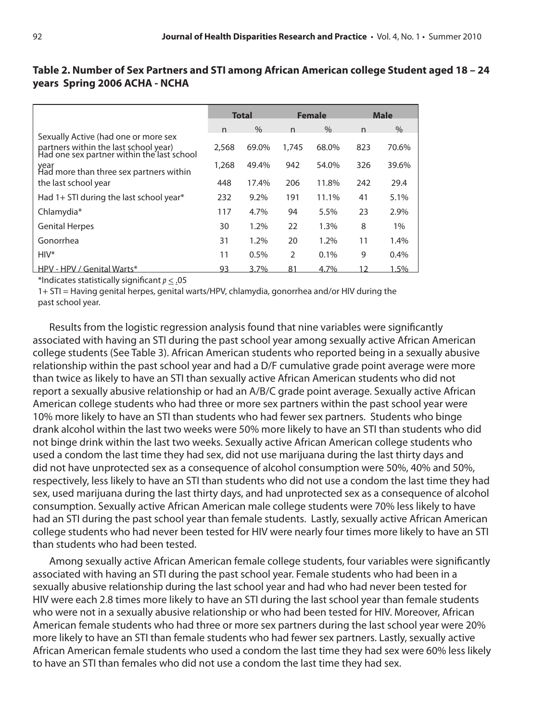#### **Table 2. Number of Sex Partners and STI among African American college Student aged 18 – 24 years Spring 2006 ACHA - NCHA**

|                                                                                     | <b>Total</b> |               | <b>Female</b>  |       | <b>Male</b> |         |
|-------------------------------------------------------------------------------------|--------------|---------------|----------------|-------|-------------|---------|
|                                                                                     | n            | $\frac{0}{0}$ | n              | $\%$  | n           | $\%$    |
| Sexually Active (had one or more sex                                                |              |               |                |       |             |         |
| partners within the last school year)<br>Had one sex partner within the last school | 2,568        | 69.0%         | 1,745          | 68.0% | 823         | 70.6%   |
| year<br>Had more than three sex partners within                                     | 1,268        | 49.4%         | 942            | 54.0% | 326         | 39.6%   |
| the last school year                                                                | 448          | 17.4%         | 206            | 11.8% | 242         | 29.4    |
| Had 1+ STI during the last school year*                                             | 232          | $9.2\%$       | 191            | 11.1% | 41          | 5.1%    |
| Chlamydia*                                                                          | 117          | 4.7%          | 94             | 5.5%  | 23          | 2.9%    |
| <b>Genital Herpes</b>                                                               | 30           | 1.2%          | 22             | 1.3%  | 8           | $1\%$   |
| Gonorrhea                                                                           | 31           | 1.2%          | 20             | 1.2%  | 11          | 1.4%    |
| $HIV^*$                                                                             | 11           | 0.5%          | $\overline{2}$ | 0.1%  | 9           | $0.4\%$ |
| HPV - HPV / Genital Warts*                                                          | 93           | 3.7%          | 81             | 4.7%  | 12          | 1.5%    |

\*Indicates statistically significant  $p \leq .05$ 

1+ STI = Having genital herpes, genital warts/HPV, chlamydia, gonorrhea and/or HIV during the past school year.

Results from the logistic regression analysis found that nine variables were significantly associated with having an STI during the past school year among sexually active African American college students (See Table 3). African American students who reported being in a sexually abusive relationship within the past school year and had a D/F cumulative grade point average were more than twice as likely to have an STI than sexually active African American students who did not report a sexually abusive relationship or had an A/B/C grade point average. Sexually active African American college students who had three or more sex partners within the past school year were 10% more likely to have an STI than students who had fewer sex partners. Students who binge drank alcohol within the last two weeks were 50% more likely to have an STI than students who did not binge drink within the last two weeks. Sexually active African American college students who used a condom the last time they had sex, did not use marijuana during the last thirty days and did not have unprotected sex as a consequence of alcohol consumption were 50%, 40% and 50%, respectively, less likely to have an STI than students who did not use a condom the last time they had sex, used marijuana during the last thirty days, and had unprotected sex as a consequence of alcohol consumption. Sexually active African American male college students were 70% less likely to have had an STI during the past school year than female students. Lastly, sexually active African American college students who had never been tested for HIV were nearly four times more likely to have an STI than students who had been tested.

Among sexually active African American female college students, four variables were significantly associated with having an STI during the past school year. Female students who had been in a sexually abusive relationship during the last school year and had who had never been tested for HIV were each 2.8 times more likely to have an STI during the last school year than female students who were not in a sexually abusive relationship or who had been tested for HIV. Moreover, African American female students who had three or more sex partners during the last school year were 20% more likely to have an STI than female students who had fewer sex partners. Lastly, sexually active African American female students who used a condom the last time they had sex were 60% less likely to have an STI than females who did not use a condom the last time they had sex.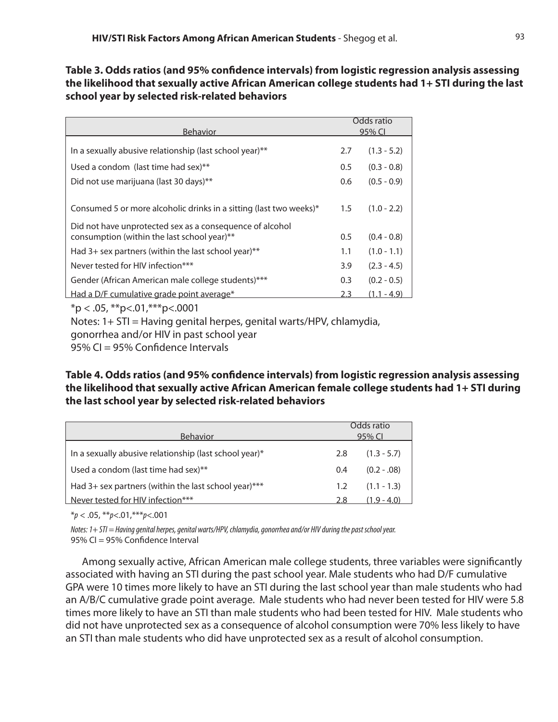**Table 3. Odds ratios (and 95% confidence intervals) from logistic regression analysis assessing the likelihood that sexually active African American college students had 1+ STI during the last school year by selected risk-related behaviors**

|                                                                    | Odds ratio |               |
|--------------------------------------------------------------------|------------|---------------|
| Behavior                                                           |            | 95% CI        |
| In a sexually abusive relationship (last school year)**            | 2.7        | $(1.3 - 5.2)$ |
| Used a condom (last time had sex)**                                | 0.5        | $(0.3 - 0.8)$ |
| Did not use marijuana (last 30 days)**                             | 0.6        | $(0.5 - 0.9)$ |
|                                                                    |            |               |
| Consumed 5 or more alcoholic drinks in a sitting (last two weeks)* | 1.5        | $(1.0 - 2.2)$ |
| Did not have unprotected sex as a consequence of alcohol           |            |               |
| consumption (within the last school year)**                        | 0.5        | $(0.4 - 0.8)$ |
| Had $3+$ sex partners (within the last school year)**              | 1.1        | $(1.0 - 1.1)$ |
| Never tested for HIV infection***                                  | 3.9        | $(2.3 - 4.5)$ |
| Gender (African American male college students)***                 | 0.3        | $(0.2 - 0.5)$ |
| Had a D/F cumulative grade point average*                          | 2.3        | $(1.1 - 4.9)$ |
| $*p < .05$ , $*p < .01$ , $**p < .0001$                            |            |               |

Notes: 1+ STI = Having genital herpes, genital warts/HPV, chlamydia,

gonorrhea and/or HIV in past school year

95% CI = 95% Confidence Intervals

#### **Table 4. Odds ratios (and 95% confidence intervals) from logistic regression analysis assessing the likelihood that sexually active African American female college students had 1+ STI during the last school year by selected risk-related behaviors**

| <b>Behavior</b>                                        | Odds ratio<br>95% $C$ |                |
|--------------------------------------------------------|-----------------------|----------------|
| In a sexually abusive relationship (last school year)* | 2.8                   | $(1.3 - 5.7)$  |
| Used a condom (last time had sex)**                    | 0.4                   | $(0.2 - 0.08)$ |
| Had 3+ sex partners (within the last school year)***   | 1.2                   | $(1.1 - 1.3)$  |
| Never tested for HIV infection***                      | 2 S                   |                |

\**p* < .05, \*\**p*<.01,\*\*\**p*<.001

*Notes: 1+ STI = Having genital herpes, genital warts/HPV, chlamydia, gonorrhea and/or HIV during the past school year.* 95% CI = 95% Confidence Interval

Among sexually active, African American male college students, three variables were significantly associated with having an STI during the past school year. Male students who had D/F cumulative GPA were 10 times more likely to have an STI during the last school year than male students who had an A/B/C cumulative grade point average. Male students who had never been tested for HIV were 5.8 times more likely to have an STI than male students who had been tested for HIV. Male students who did not have unprotected sex as a consequence of alcohol consumption were 70% less likely to have an STI than male students who did have unprotected sex as a result of alcohol consumption.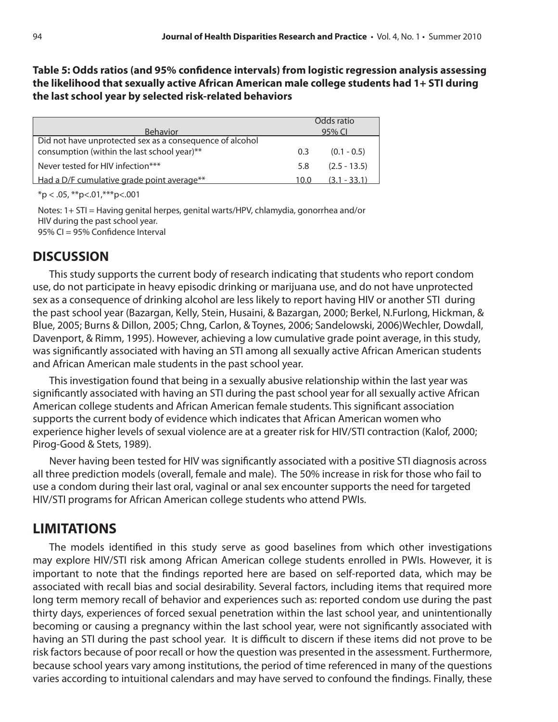**Table 5: Odds ratios (and 95% confidence intervals) from logistic regression analysis assessing the likelihood that sexually active African American male college students had 1+ STI during the last school year by selected risk-related behaviors**

| <b>Behavior</b>                                                                                         | Odds ratio<br>95% CI |                |
|---------------------------------------------------------------------------------------------------------|----------------------|----------------|
| Did not have unprotected sex as a consequence of alcohol<br>consumption (within the last school year)** | 0.3                  | $(0.1 - 0.5)$  |
| Never tested for HIV infection***                                                                       | 5.8                  | $(2.5 - 13.5)$ |
| Had a D/F cumulative grade point average**                                                              | 10.0                 | $(3.1 - 33.1)$ |

 $*p < .05$ ,  $*p < .01$ ,  $**p < .001$ 

Notes: 1+ STI = Having genital herpes, genital warts/HPV, chlamydia, gonorrhea and/or HIV during the past school year. 95% CI = 95% Confidence Interval

## **DISCUSSION**

This study supports the current body of research indicating that students who report condom use, do not participate in heavy episodic drinking or marijuana use, and do not have unprotected sex as a consequence of drinking alcohol are less likely to report having HIV or another STI during the past school year (Bazargan, Kelly, Stein, Husaini, & Bazargan, 2000; Berkel, N.Furlong, Hickman, & Blue, 2005; Burns & Dillon, 2005; Chng, Carlon, & Toynes, 2006; Sandelowski, 2006)Wechler, Dowdall, Davenport, & Rimm, 1995). However, achieving a low cumulative grade point average, in this study, was significantly associated with having an STI among all sexually active African American students and African American male students in the past school year.

This investigation found that being in a sexually abusive relationship within the last year was significantly associated with having an STI during the past school year for all sexually active African American college students and African American female students. This significant association supports the current body of evidence which indicates that African American women who experience higher levels of sexual violence are at a greater risk for HIV/STI contraction (Kalof, 2000; Pirog-Good & Stets, 1989).

Never having been tested for HIV was significantly associated with a positive STI diagnosis across all three prediction models (overall, female and male). The 50% increase in risk for those who fail to use a condom during their last oral, vaginal or anal sex encounter supports the need for targeted HIV/STI programs for African American college students who attend PWIs.

# **LIMITATIONS**

The models identified in this study serve as good baselines from which other investigations may explore HIV/STI risk among African American college students enrolled in PWIs. However, it is important to note that the findings reported here are based on self-reported data, which may be associated with recall bias and social desirability. Several factors, including items that required more long term memory recall of behavior and experiences such as: reported condom use during the past thirty days, experiences of forced sexual penetration within the last school year, and unintentionally becoming or causing a pregnancy within the last school year, were not significantly associated with having an STI during the past school year. It is difficult to discern if these items did not prove to be risk factors because of poor recall or how the question was presented in the assessment. Furthermore, because school years vary among institutions, the period of time referenced in many of the questions varies according to intuitional calendars and may have served to confound the findings. Finally, these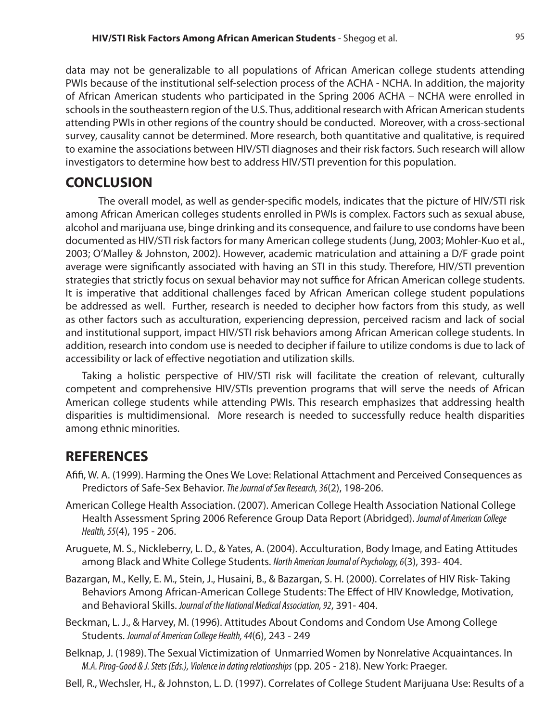data may not be generalizable to all populations of African American college students attending PWIs because of the institutional self-selection process of the ACHA - NCHA. In addition, the majority of African American students who participated in the Spring 2006 ACHA – NCHA were enrolled in schools in the southeastern region of the U.S. Thus, additional research with African American students attending PWIs in other regions of the country should be conducted. Moreover, with a cross-sectional survey, causality cannot be determined. More research, both quantitative and qualitative, is required to examine the associations between HIV/STI diagnoses and their risk factors. Such research will allow investigators to determine how best to address HIV/STI prevention for this population.

# **CONCLUSION**

The overall model, as well as gender-specific models, indicates that the picture of HIV/STI risk among African American colleges students enrolled in PWIs is complex. Factors such as sexual abuse, alcohol and marijuana use, binge drinking and its consequence, and failure to use condoms have been documented as HIV/STI risk factors for many American college students (Jung, 2003; Mohler-Kuo et al., 2003; O'Malley & Johnston, 2002). However, academic matriculation and attaining a D/F grade point average were significantly associated with having an STI in this study. Therefore, HIV/STI prevention strategies that strictly focus on sexual behavior may not suffice for African American college students. It is imperative that additional challenges faced by African American college student populations be addressed as well. Further, research is needed to decipher how factors from this study, as well as other factors such as acculturation, experiencing depression, perceived racism and lack of social and institutional support, impact HIV/STI risk behaviors among African American college students. In addition, research into condom use is needed to decipher if failure to utilize condoms is due to lack of accessibility or lack of effective negotiation and utilization skills.

Taking a holistic perspective of HIV/STI risk will facilitate the creation of relevant, culturally competent and comprehensive HIV/STIs prevention programs that will serve the needs of African American college students while attending PWIs. This research emphasizes that addressing health disparities is multidimensional. More research is needed to successfully reduce health disparities among ethnic minorities.

# **REFERENCES**

- Afifi, W. A. (1999). Harming the Ones We Love: Relational Attachment and Perceived Consequences as Predictors of Safe-Sex Behavior. *The Journal of Sex Research, 36*(2), 198-206.
- American College Health Association. (2007). American College Health Association National College Health Assessment Spring 2006 Reference Group Data Report (Abridged). *Journal of American College Health, 55*(4), 195 - 206.
- Aruguete, M. S., Nickleberry, L. D., & Yates, A. (2004). Acculturation, Body Image, and Eating Attitudes among Black and White College Students. *North American Journal of Psychology, 6*(3), 393- 404.
- Bazargan, M., Kelly, E. M., Stein, J., Husaini, B., & Bazargan, S. H. (2000). Correlates of HIV Risk- Taking Behaviors Among African-American College Students: The Effect of HIV Knowledge, Motivation, and Behavioral Skills. *Journal of the National Medical Association, 92*, 391- 404.
- Beckman, L. J., & Harvey, M. (1996). Attitudes About Condoms and Condom Use Among College Students. *Journal of American College Health, 44*(6), 243 - 249
- Belknap, J. (1989). The Sexual Victimization of Unmarried Women by Nonrelative Acquaintances. In *M.A. Pirog-Good & J. Stets (Eds.), Violence in dating relationships* (pp. 205 - 218). New York: Praeger.
- Bell, R., Wechsler, H., & Johnston, L. D. (1997). Correlates of College Student Marijuana Use: Results of a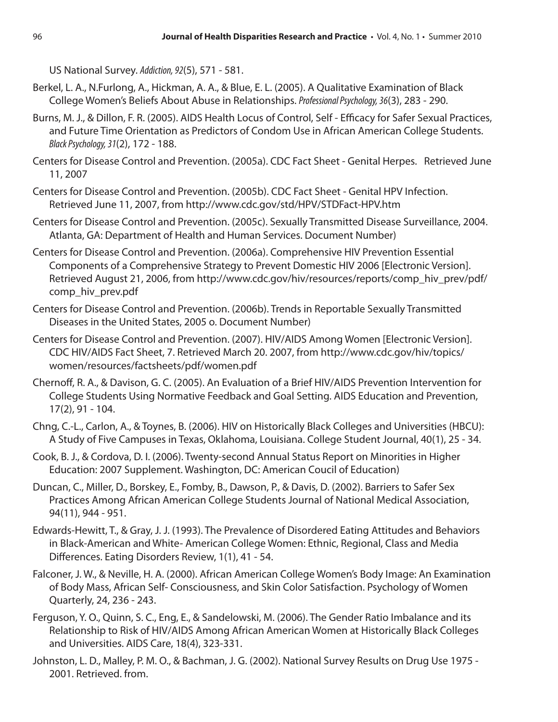US National Survey. *Addiction, 92*(5), 571 - 581.

- Berkel, L. A., N.Furlong, A., Hickman, A. A., & Blue, E. L. (2005). A Qualitative Examination of Black College Women's Beliefs About Abuse in Relationships. *Professional Psychology, 36*(3), 283 - 290.
- Burns, M. J., & Dillon, F. R. (2005). AIDS Health Locus of Control, Self Efficacy for Safer Sexual Practices, and Future Time Orientation as Predictors of Condom Use in African American College Students. *Black Psychology, 31*(2), 172 - 188.
- Centers for Disease Control and Prevention. (2005a). CDC Fact Sheet Genital Herpes. Retrieved June 11, 2007
- Centers for Disease Control and Prevention. (2005b). CDC Fact Sheet Genital HPV Infection. Retrieved June 11, 2007, from http://www.cdc.gov/std/HPV/STDFact-HPV.htm
- Centers for Disease Control and Prevention. (2005c). Sexually Transmitted Disease Surveillance, 2004. Atlanta, GA: Department of Health and Human Services. Document Number)
- Centers for Disease Control and Prevention. (2006a). Comprehensive HIV Prevention Essential Components of a Comprehensive Strategy to Prevent Domestic HIV 2006 [Electronic Version]. Retrieved August 21, 2006, from http://www.cdc.gov/hiv/resources/reports/comp\_hiv\_prev/pdf/ comp\_hiv\_prev.pdf
- Centers for Disease Control and Prevention. (2006b). Trends in Reportable Sexually Transmitted Diseases in the United States, 2005 o. Document Number)
- Centers for Disease Control and Prevention. (2007). HIV/AIDS Among Women [Electronic Version]. CDC HIV/AIDS Fact Sheet, 7. Retrieved March 20. 2007, from http://www.cdc.gov/hiv/topics/ women/resources/factsheets/pdf/women.pdf
- Chernoff, R. A., & Davison, G. C. (2005). An Evaluation of a Brief HIV/AIDS Prevention Intervention for College Students Using Normative Feedback and Goal Setting. AIDS Education and Prevention, 17(2), 91 - 104.
- Chng, C.-L., Carlon, A., & Toynes, B. (2006). HIV on Historically Black Colleges and Universities (HBCU): A Study of Five Campuses in Texas, Oklahoma, Louisiana. College Student Journal, 40(1), 25 - 34.
- Cook, B. J., & Cordova, D. I. (2006). Twenty-second Annual Status Report on Minorities in Higher Education: 2007 Supplement. Washington, DC: American Coucil of Education)
- Duncan, C., Miller, D., Borskey, E., Fomby, B., Dawson, P., & Davis, D. (2002). Barriers to Safer Sex Practices Among African American College Students Journal of National Medical Association, 94(11), 944 - 951.
- Edwards-Hewitt, T., & Gray, J. J. (1993). The Prevalence of Disordered Eating Attitudes and Behaviors in Black-American and White- American College Women: Ethnic, Regional, Class and Media Differences. Eating Disorders Review, 1(1), 41 - 54.
- Falconer, J. W., & Neville, H. A. (2000). African American College Women's Body Image: An Examination of Body Mass, African Self- Consciousness, and Skin Color Satisfaction. Psychology of Women Quarterly, 24, 236 - 243.
- Ferguson, Y. O., Quinn, S. C., Eng, E., & Sandelowski, M. (2006). The Gender Ratio Imbalance and its Relationship to Risk of HIV/AIDS Among African American Women at Historically Black Colleges and Universities. AIDS Care, 18(4), 323-331.
- Johnston, L. D., Malley, P. M. O., & Bachman, J. G. (2002). National Survey Results on Drug Use 1975 2001. Retrieved. from.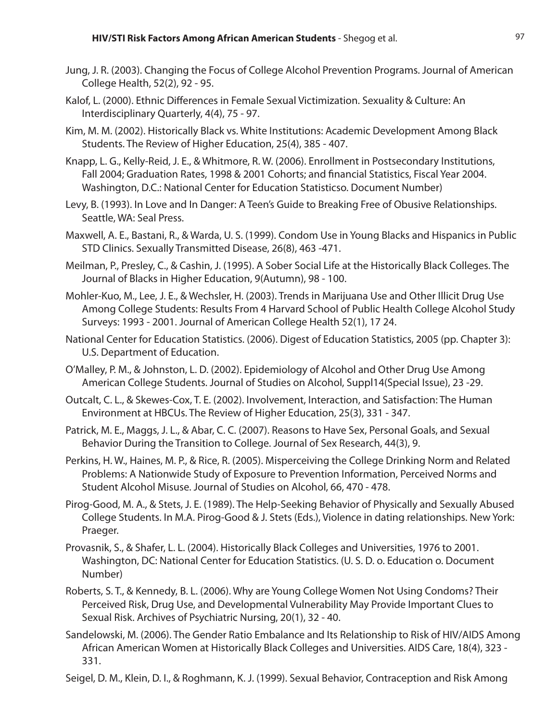- Jung, J. R. (2003). Changing the Focus of College Alcohol Prevention Programs. Journal of American College Health, 52(2), 92 - 95.
- Kalof, L. (2000). Ethnic Differences in Female Sexual Victimization. Sexuality & Culture: An Interdisciplinary Quarterly, 4(4), 75 - 97.
- Kim, M. M. (2002). Historically Black vs. White Institutions: Academic Development Among Black Students. The Review of Higher Education, 25(4), 385 - 407.
- Knapp, L. G., Kelly-Reid, J. E., & Whitmore, R. W. (2006). Enrollment in Postsecondary Institutions, Fall 2004; Graduation Rates, 1998 & 2001 Cohorts; and financial Statistics, Fiscal Year 2004. Washington, D.C.: National Center for Education Statisticso. Document Number)
- Levy, B. (1993). In Love and In Danger: A Teen's Guide to Breaking Free of Obusive Relationships. Seattle, WA: Seal Press.
- Maxwell, A. E., Bastani, R., & Warda, U. S. (1999). Condom Use in Young Blacks and Hispanics in Public STD Clinics. Sexually Transmitted Disease, 26(8), 463 -471.
- Meilman, P., Presley, C., & Cashin, J. (1995). A Sober Social Life at the Historically Black Colleges. The Journal of Blacks in Higher Education, 9(Autumn), 98 - 100.
- Mohler-Kuo, M., Lee, J. E., & Wechsler, H. (2003). Trends in Marijuana Use and Other Illicit Drug Use Among College Students: Results From 4 Harvard School of Public Health College Alcohol Study Surveys: 1993 - 2001. Journal of American College Health 52(1), 17 24.
- National Center for Education Statistics. (2006). Digest of Education Statistics, 2005 (pp. Chapter 3): U.S. Department of Education.
- O'Malley, P. M., & Johnston, L. D. (2002). Epidemiology of Alcohol and Other Drug Use Among American College Students. Journal of Studies on Alcohol, Suppl14(Special Issue), 23 -29.
- Outcalt, C. L., & Skewes-Cox, T. E. (2002). Involvement, Interaction, and Satisfaction: The Human Environment at HBCUs. The Review of Higher Education, 25(3), 331 - 347.
- Patrick, M. E., Maggs, J. L., & Abar, C. C. (2007). Reasons to Have Sex, Personal Goals, and Sexual Behavior During the Transition to College. Journal of Sex Research, 44(3), 9.
- Perkins, H. W., Haines, M. P., & Rice, R. (2005). Misperceiving the College Drinking Norm and Related Problems: A Nationwide Study of Exposure to Prevention Information, Perceived Norms and Student Alcohol Misuse. Journal of Studies on Alcohol, 66, 470 - 478.
- Pirog-Good, M. A., & Stets, J. E. (1989). The Help-Seeking Behavior of Physically and Sexually Abused College Students. In M.A. Pirog-Good & J. Stets (Eds.), Violence in dating relationships. New York: Praeger.
- Provasnik, S., & Shafer, L. L. (2004). Historically Black Colleges and Universities, 1976 to 2001. Washington, DC: National Center for Education Statistics. (U. S. D. o. Education o. Document Number)
- Roberts, S. T., & Kennedy, B. L. (2006). Why are Young College Women Not Using Condoms? Their Perceived Risk, Drug Use, and Developmental Vulnerability May Provide Important Clues to Sexual Risk. Archives of Psychiatric Nursing, 20(1), 32 - 40.
- Sandelowski, M. (2006). The Gender Ratio Embalance and Its Relationship to Risk of HIV/AIDS Among African American Women at Historically Black Colleges and Universities. AIDS Care, 18(4), 323 - 331.
- Seigel, D. M., Klein, D. I., & Roghmann, K. J. (1999). Sexual Behavior, Contraception and Risk Among